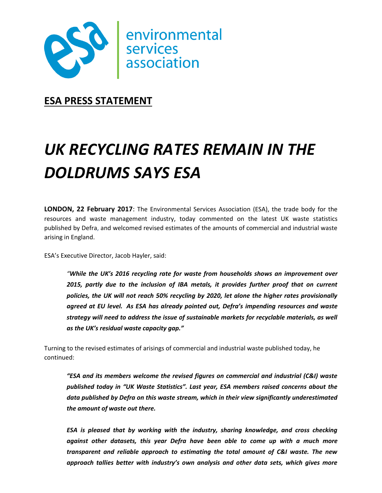

**ESA PRESS STATEMENT**

## *UK RECYCLING RATES REMAIN IN THE DOLDRUMS SAYS ESA*

**LONDON, 22 February 2017**: The Environmental Services Association (ESA), the trade body for the resources and waste management industry, today commented on the latest UK waste statistics published by Defra, and welcomed revised estimates of the amounts of commercial and industrial waste arising in England.

ESA's Executive Director, Jacob Hayler, said:

*"While the UK's 2016 recycling rate for waste from households shows an improvement over 2015, partly due to the inclusion of IBA metals, it provides further proof that on current policies, the UK will not reach 50% recycling by 2020, let alone the higher rates provisionally agreed at EU level. As ESA has already pointed out, Defra's impending resources and waste strategy will need to address the issue of sustainable markets for recyclable materials, as well as the UK's residual waste capacity gap."*

Turning to the revised estimates of arisings of commercial and industrial waste published today, he continued:

*"ESA and its members welcome the revised figures on commercial and industrial (C&I) waste published today in "UK Waste Statistics". Last year, ESA members raised concerns about the data published by Defra on this waste stream, which in their view significantly underestimated the amount of waste out there.*

*ESA is pleased that by working with the industry, sharing knowledge, and cross checking against other datasets, this year Defra have been able to come up with a much more transparent and reliable approach to estimating the total amount of C&I waste. The new approach tallies better with industry's own analysis and other data sets, which gives more*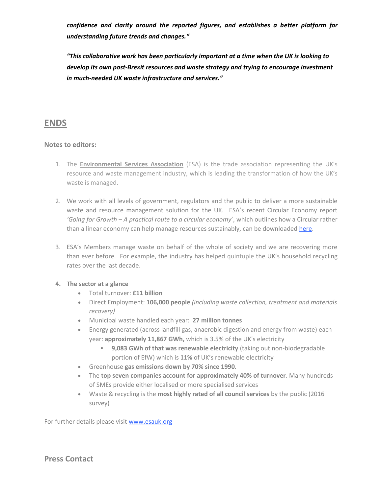*confidence and clarity around the reported figures, and establishes a better platform for understanding future trends and changes."* 

*"This collaborative work has been particularly important at a time when the UK is looking to develop its own post-Brexit resources and waste strategy and trying to encourage investment in much-needed UK waste infrastructure and services."*

## **ENDS**

## **Notes to editors:**

- 1. The **Environmental Services Association** (ESA) is the trade association representing the UK's resource and waste management industry, which is leading the transformation of how the UK's waste is managed.
- 2. We work with all levels of government, regulators and the public to deliver a more sustainable waste and resource management solution for the UK. ESA's recent Circular Economy report *'Going for Growth – A practical route to a circular economy*', which outlines how a Circular rather than a linear economy can help manage resources sustainably, can be downloaded [here.](http://www.esauk.org/esa_reports/Circular_Economy_Report_FINAL_High_Res_For_Release.pdf)
- 3. ESA's Members manage waste on behalf of the whole of society and we are recovering more than ever before. For example, the industry has helped quintuple the UK's household recycling rates over the last decade.

## **4. The sector at a glance**

- Total turnover: **£11 billion**
- Direct Employment: **106,000 people** *(including waste collection, treatment and materials recovery)*
- Municipal waste handled each year: **27 million tonnes**
- Energy generated (across landfill gas, anaerobic digestion and energy from waste) each year: **approximately 11,867 GWh,** which is 3.5% of the UK's electricity
	- **9,083 GWh of that was renewable electricity** (taking out non-biodegradable portion of EfW) which is **11%** of UK's renewable electricity
- Greenhouse **gas emissions down by 70% since 1990.**
- The **top seven companies account for approximately 40% of turnover**. Many hundreds of SMEs provide either localised or more specialised services
- Waste & recycling is the **most highly rated of all council services** by the public (2016 survey)

For further details please visit [www.esauk.org](http://www.esauk.org/) 

**Press Contact**